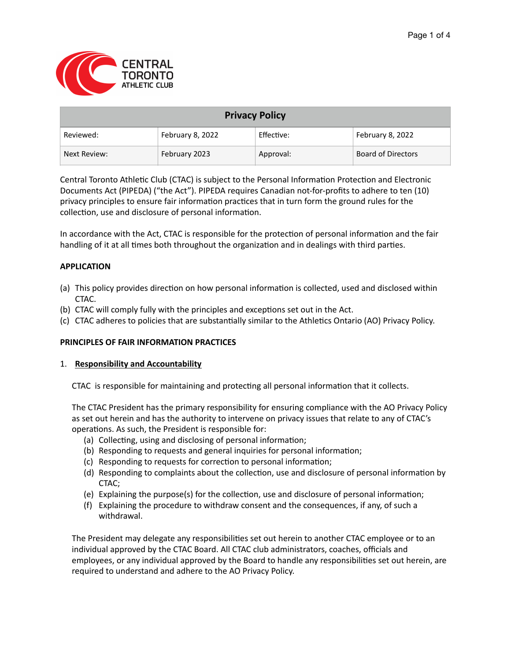

| <b>Privacy Policy</b> |                  |            |                           |
|-----------------------|------------------|------------|---------------------------|
| Reviewed:             | February 8, 2022 | Effective: | February 8, 2022          |
| Next Review:          | February 2023    | Approval:  | <b>Board of Directors</b> |

Central Toronto Athletic Club (CTAC) is subject to the Personal Information Protection and Electronic Documents Act (PIPEDA) ("the Act"). PIPEDA requires Canadian not-for-profits to adhere to ten (10) privacy principles to ensure fair information practices that in turn form the ground rules for the collection, use and disclosure of personal information.

In accordance with the Act, CTAC is responsible for the protection of personal information and the fair handling of it at all times both throughout the organization and in dealings with third parties.

## **APPLICATION**

- (a) This policy provides direction on how personal information is collected, used and disclosed within CTAC.
- (b) CTAC will comply fully with the principles and exceptions set out in the Act.
- (c) CTAC adheres to policies that are substantially similar to the Athletics Ontario (AO) Privacy Policy.

### **PRINCIPLES OF FAIR INFORMATION PRACTICES**

### 1. **Responsibility and Accountability**

CTAC is responsible for maintaining and protecting all personal information that it collects.

The CTAC President has the primary responsibility for ensuring compliance with the AO Privacy Policy as set out herein and has the authority to intervene on privacy issues that relate to any of CTAC's operations. As such, the President is responsible for:

- (a) Collecting, using and disclosing of personal information;
- (b) Responding to requests and general inquiries for personal information;
- (c) Responding to requests for correction to personal information;
- (d) Responding to complaints about the collection, use and disclosure of personal information by CTAC;
- (e) Explaining the purpose(s) for the collection, use and disclosure of personal information;
- (f) Explaining the procedure to withdraw consent and the consequences, if any, of such a withdrawal.

The President may delegate any responsibilities set out herein to another CTAC employee or to an individual approved by the CTAC Board. All CTAC club administrators, coaches, officials and employees, or any individual approved by the Board to handle any responsibilities set out herein, are required to understand and adhere to the AO Privacy Policy.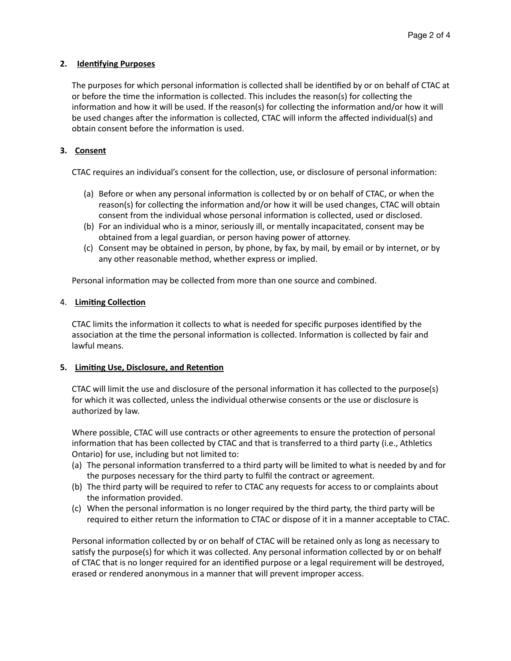## **2. Identifying Purposes**

The purposes for which personal information is collected shall be identified by or on behalf of CTAC at or before the time the information is collected. This includes the reason(s) for collecting the information and how it will be used. If the reason(s) for collecting the information and/or how it will be used changes after the information is collected, CTAC will inform the affected individual(s) and obtain consent before the information is used.

# **3. Consent**

CTAC requires an individual's consent for the collection, use, or disclosure of personal information:

- (a) Before or when any personal information is collected by or on behalf of CTAC, or when the reason(s) for collecting the information and/or how it will be used changes, CTAC will obtain consent from the individual whose personal information is collected, used or disclosed.
- (b) For an individual who is a minor, seriously ill, or mentally incapacitated, consent may be obtained from a legal guardian, or person having power of attorney.
- (c) Consent may be obtained in person, by phone, by fax, by mail, by email or by internet, or by any other reasonable method, whether express or implied.

Personal information may be collected from more than one source and combined.

## 4. **Limiting Collection**

CTAC limits the information it collects to what is needed for specific purposes identified by the association at the time the personal information is collected. Information is collected by fair and lawful means.

## **5. Limiting Use, Disclosure, and Retention**

CTAC will limit the use and disclosure of the personal information it has collected to the purpose(s) for which it was collected, unless the individual otherwise consents or the use or disclosure is authorized by law.

Where possible, CTAC will use contracts or other agreements to ensure the protection of personal information that has been collected by CTAC and that is transferred to a third party (i.e., Athletics Ontario) for use, including but not limited to:

- (a) The personal information transferred to a third party will be limited to what is needed by and for the purposes necessary for the third party to fulfil the contract or agreement.
- (b) The third party will be required to refer to CTAC any requests for access to or complaints about the information provided.
- (c) When the personal information is no longer required by the third party, the third party will be required to either return the information to CTAC or dispose of it in a manner acceptable to CTAC.

Personal information collected by or on behalf of CTAC will be retained only as long as necessary to satisfy the purpose(s) for which it was collected. Any personal information collected by or on behalf of CTAC that is no longer required for an identified purpose or a legal requirement will be destroyed, erased or rendered anonymous in a manner that will prevent improper access.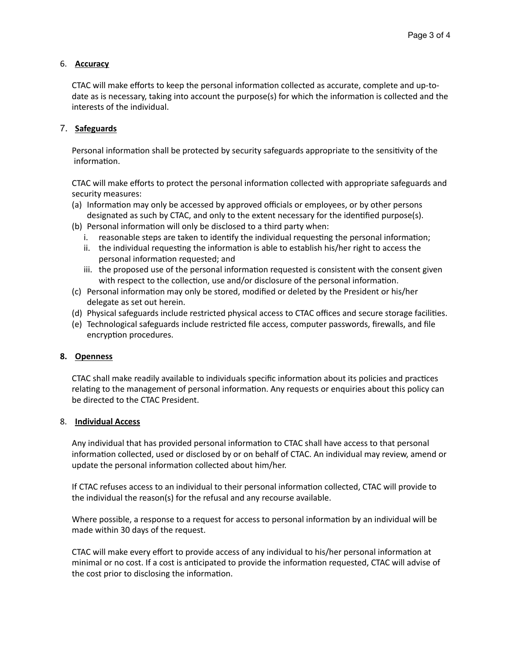# 6. **Accuracy**

CTAC will make efforts to keep the personal information collected as accurate, complete and up-todate as is necessary, taking into account the purpose(s) for which the information is collected and the interests of the individual.

## 7. **Safeguards**

Personal information shall be protected by security safeguards appropriate to the sensitivity of the information.

CTAC will make efforts to protect the personal information collected with appropriate safeguards and security measures:

- (a) Information may only be accessed by approved officials or employees, or by other persons designated as such by CTAC, and only to the extent necessary for the identified purpose(s).
- (b) Personal information will only be disclosed to a third party when:
	- i. reasonable steps are taken to identify the individual requesting the personal information;
	- ii. the individual requesting the information is able to establish his/her right to access the personal information requested; and
	- iii. the proposed use of the personal information requested is consistent with the consent given with respect to the collection, use and/or disclosure of the personal information.
- (c) Personal information may only be stored, modified or deleted by the President or his/her delegate as set out herein.
- (d) Physical safeguards include restricted physical access to CTAC offices and secure storage facilities.
- (e) Technological safeguards include restricted file access, computer passwords, firewalls, and file encryption procedures.

### **8. Openness**

CTAC shall make readily available to individuals specific information about its policies and practices relating to the management of personal information. Any requests or enquiries about this policy can be directed to the CTAC President.

### 8. **Individual Access**

Any individual that has provided personal information to CTAC shall have access to that personal information collected, used or disclosed by or on behalf of CTAC. An individual may review, amend or update the personal information collected about him/her.

If CTAC refuses access to an individual to their personal information collected, CTAC will provide to the individual the reason(s) for the refusal and any recourse available.

Where possible, a response to a request for access to personal information by an individual will be made within 30 days of the request.

CTAC will make every effort to provide access of any individual to his/her personal information at minimal or no cost. If a cost is anticipated to provide the information requested, CTAC will advise of the cost prior to disclosing the information.